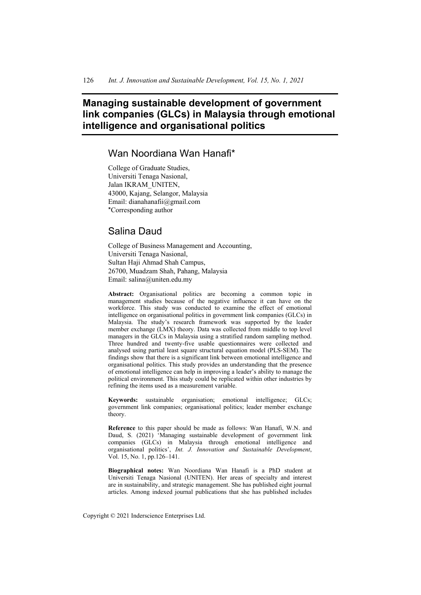# **Managing sustainable development of government link companies (GLCs) in Malaysia through emotional intelligence and organisational politics**

# Wan Noordiana Wan Hanafi\*

College of Graduate Studies, Universiti Tenaga Nasional, Jalan IKRAM\_UNITEN, 43000, Kajang, Selangor, Malaysia Email: dianahanafii@gmail.com \*Corresponding author

# Salina Daud

College of Business Management and Accounting, Universiti Tenaga Nasional, Sultan Haji Ahmad Shah Campus, 26700, Muadzam Shah, Pahang, Malaysia Email: salina@uniten.edu.my

**Abstract:** Organisational politics are becoming a common topic in management studies because of the negative influence it can have on the workforce. This study was conducted to examine the effect of emotional intelligence on organisational politics in government link companies (GLCs) in Malaysia. The study's research framework was supported by the leader member exchange (LMX) theory. Data was collected from middle to top level managers in the GLCs in Malaysia using a stratified random sampling method. Three hundred and twenty-five usable questionnaires were collected and analysed using partial least square structural equation model (PLS-SEM). The findings show that there is a significant link between emotional intelligence and organisational politics. This study provides an understanding that the presence of emotional intelligence can help in improving a leader's ability to manage the political environment. This study could be replicated within other industries by refining the items used as a measurement variable.

**Keywords:** sustainable organisation; emotional intelligence; GLCs; government link companies; organisational politics; leader member exchange theory.

**Reference** to this paper should be made as follows: Wan Hanafi, W.N. and Daud, S. (2021) 'Managing sustainable development of government link companies (GLCs) in Malaysia through emotional intelligence and organisational politics', *Int. J. Innovation and Sustainable Development*, Vol. 15, No. 1, pp.126–141.

**Biographical notes:** Wan Noordiana Wan Hanafi is a PhD student at Universiti Tenaga Nasional (UNITEN). Her areas of specialty and interest are in sustainability, and strategic management. She has published eight journal articles. Among indexed journal publications that she has published includes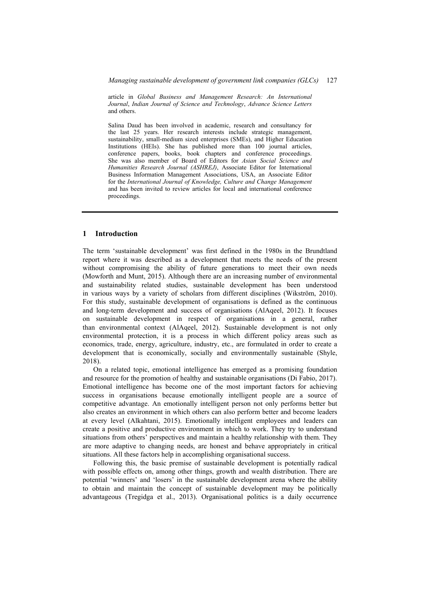article in *Global Business and Management Research: An International Journal*, *Indian Journal of Science and Technology*, *Advance Science Letters* and others.

Salina Daud has been involved in academic, research and consultancy for the last 25 years. Her research interests include strategic management, sustainability, small-medium sized enterprises (SMEs), and Higher Education Institutions (HEIs). She has published more than 100 journal articles, conference papers, books, book chapters and conference proceedings. She was also member of Board of Editors for *Asian Social Science and Humanities Research Journal (ASHREJ)*, Associate Editor for International Business Information Management Associations, USA, an Associate Editor for the *International Journal of Knowledge, Culture and Change Management* and has been invited to review articles for local and international conference proceedings.

#### **1 Introduction**

The term 'sustainable development' was first defined in the 1980s in the Brundtland report where it was described as a development that meets the needs of the present without compromising the ability of future generations to meet their own needs (Mowforth and Munt, 2015). Although there are an increasing number of environmental and sustainability related studies, sustainable development has been understood in various ways by a variety of scholars from different disciplines (Wikström, 2010). For this study, sustainable development of organisations is defined as the continuous and long-term development and success of organisations (AlAqeel, 2012). It focuses on sustainable development in respect of organisations in a general, rather than environmental context (AlAqeel, 2012). Sustainable development is not only environmental protection, it is a process in which different policy areas such as economics, trade, energy, agriculture, industry, etc., are formulated in order to create a development that is economically, socially and environmentally sustainable (Shyle, 2018).

On a related topic, emotional intelligence has emerged as a promising foundation and resource for the promotion of healthy and sustainable organisations (Di Fabio, 2017). Emotional intelligence has become one of the most important factors for achieving success in organisations because emotionally intelligent people are a source of competitive advantage. An emotionally intelligent person not only performs better but also creates an environment in which others can also perform better and become leaders at every level (Alkahtani, 2015). Emotionally intelligent employees and leaders can create a positive and productive environment in which to work. They try to understand situations from others' perspectives and maintain a healthy relationship with them. They are more adaptive to changing needs, are honest and behave appropriately in critical situations. All these factors help in accomplishing organisational success.

Following this, the basic premise of sustainable development is potentially radical with possible effects on, among other things, growth and wealth distribution. There are potential 'winners' and 'losers' in the sustainable development arena where the ability to obtain and maintain the concept of sustainable development may be politically advantageous (Tregidga et al., 2013). Organisational politics is a daily occurrence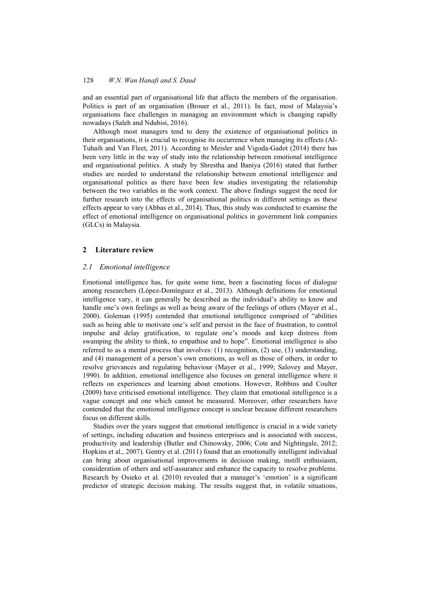and an essential part of organisational life that affects the members of the organisation. Politics is part of an organisation (Brouer et al., 2011). In fact, most of Malaysia's organisations face challenges in managing an environment which is changing rapidly nowadays (Saleh and Ndubisi, 2016).

Although most managers tend to deny the existence of organisational politics in their organisations, it is crucial to recognise its occurrence when managing its effects (Al-Tuhaih and Van Fleet, 2011). According to Meisler and Vigoda-Gadot (2014) there has been very little in the way of study into the relationship between emotional intelligence and organisational politics. A study by Shrestha and Baniya (2016) stated that further studies are needed to understand the relationship between emotional intelligence and organisational politics as there have been few studies investigating the relationship between the two variables in the work context. The above findings suggest the need for further research into the effects of organisational politics in different settings as these effects appear to vary (Abbas et al., 2014). Thus, this study was conducted to examine the effect of emotional intelligence on organisational politics in government link companies (GLCs) in Malaysia.

# **2 Literature review**

# *2.1 Emotional intelligence*

Emotional intelligence has, for quite some time, been a fascinating focus of dialogue among researchers (López-Domínguez et al., 2013). Although definitions for emotional intelligence vary, it can generally be described as the individual's ability to know and handle one's own feelings as well as being aware of the feelings of others (Mayer et al., 2000). Goleman (1995) contended that emotional intelligence comprised of "abilities such as being able to motivate one's self and persist in the face of frustration, to control impulse and delay gratification, to regulate one's moods and keep distress from swamping the ability to think, to empathise and to hope". Emotional intelligence is also referred to as a mental process that involves: (1) recognition, (2) use, (3) understanding, and (4) management of a person's own emotions, as well as those of others, in order to resolve grievances and regulating behaviour (Mayer et al., 1999; Salovey and Mayer, 1990). In addition, emotional intelligence also focuses on general intelligence where it reflects on experiences and learning about emotions. However, Robbins and Coulter (2009) have criticised emotional intelligence. They claim that emotional intelligence is a vague concept and one which cannot be measured. Moreover, other researchers have contended that the emotional intelligence concept is unclear because different researchers focus on different skills.

Studies over the years suggest that emotional intelligence is crucial in a wide variety of settings, including education and business enterprises and is associated with success, productivity and leadership (Butler and Chinowsky, 2006; Cote and Nightingale, 2012; Hopkins et al., 2007). Gentry et al. (2011) found that an emotionally intelligent individual can bring about organisational improvements in decision making, instill enthusiasm, consideration of others and self-assurance and enhance the capacity to resolve problems. Research by Osieko et al. (2010) revealed that a manager's 'emotion' is a significant predictor of strategic decision making. The results suggest that, in volatile situations,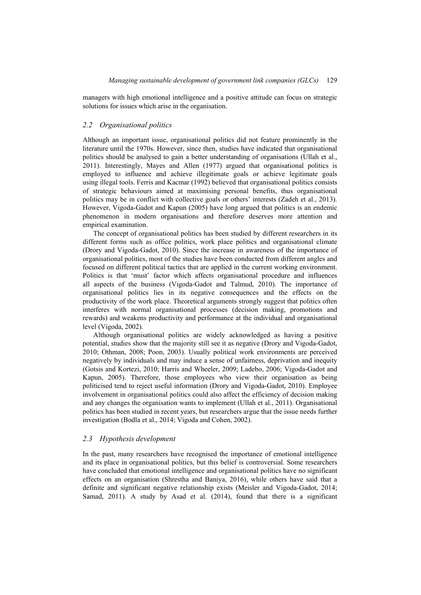managers with high emotional intelligence and a positive attitude can focus on strategic solutions for issues which arise in the organisation.

# *2.2 Organisational politics*

Although an important issue, organisational politics did not feature prominently in the literature until the 1970s. However, since then, studies have indicated that organisational politics should be analysed to gain a better understanding of organisations (Ullah et al., 2011). Interestingly, Mayes and Allen (1977) argued that organisational politics is employed to influence and achieve illegitimate goals or achieve legitimate goals using illegal tools. Ferris and Kacmar (1992) believed that organisational politics consists of strategic behaviours aimed at maximising personal benefits, thus organisational politics may be in conflict with collective goals or others' interests (Zadeh et al., 2013). However, Vigoda-Gadot and Kapun (2005) have long argued that politics is an endemic phenomenon in modern organisations and therefore deserves more attention and empirical examination.

The concept of organisational politics has been studied by different researchers in its different forms such as office politics, work place politics and organisational climate (Drory and Vigoda-Gadot, 2010). Since the increase in awareness of the importance of organisational politics, most of the studies have been conducted from different angles and focused on different political tactics that are applied in the current working environment. Politics is that 'must' factor which affects organisational procedure and influences all aspects of the business (Vigoda-Gadot and Talmud, 2010). The importance of organisational politics lies in its negative consequences and the effects on the productivity of the work place. Theoretical arguments strongly suggest that politics often interferes with normal organisational processes (decision making, promotions and rewards) and weakens productivity and performance at the individual and organisational level (Vigoda, 2002).

Although organisational politics are widely acknowledged as having a positive potential, studies show that the majority still see it as negative (Drory and Vigoda-Gadot, 2010; Othman, 2008; Poon, 2003). Usually political work environments are perceived negatively by individuals and may induce a sense of unfairness, deprivation and inequity (Gotsis and Kortezi, 2010; Harris and Wheeler, 2009; Ladebo, 2006; Vigoda-Gadot and Kapun, 2005). Therefore, those employees who view their organisation as being politicised tend to reject useful information (Drory and Vigoda-Gadot, 2010). Employee involvement in organisational politics could also affect the efficiency of decision making and any changes the organisation wants to implement (Ullah et al., 2011). Organisational politics has been studied in recent years, but researchers argue that the issue needs further investigation (Bodla et al., 2014; Vigoda and Cohen, 2002).

# *2.3 Hypothesis development*

In the past, many researchers have recognised the importance of emotional intelligence and its place in organisational politics, but this belief is controversial. Some researchers have concluded that emotional intelligence and organisational politics have no significant effects on an organisation (Shrestha and Baniya, 2016), while others have said that a definite and significant negative relationship exists (Meisler and Vigoda-Gadot, 2014; Samad, 2011). A study by Asad et al. (2014), found that there is a significant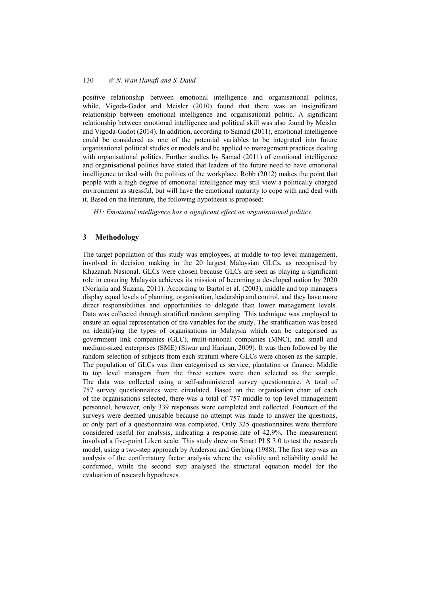positive relationship between emotional intelligence and organisational politics, while, Vigoda-Gadot and Meisler (2010) found that there was an insignificant relationship between emotional intelligence and organisational politic. A significant relationship between emotional intelligence and political skill was also found by Meisler and Vigoda-Gadot (2014). In addition, according to Samad (2011), emotional intelligence could be considered as one of the potential variables to be integrated into future organisational political studies or models and be applied to management practices dealing with organisational politics. Further studies by Samad (2011) of emotional intelligence and organisational politics have stated that leaders of the future need to have emotional intelligence to deal with the politics of the workplace. Robb (2012) makes the point that people with a high degree of emotional intelligence may still view a politically charged environment as stressful, but will have the emotional maturity to cope with and deal with it. Based on the literature, the following hypothesis is proposed:

*H1: Emotional intelligence has a significant effect on organisational politics.* 

# **3 Methodology**

The target population of this study was employees, at middle to top level management, involved in decision making in the 20 largest Malaysian GLCs, as recognised by Khazanah Nasional. GLCs were chosen because GLCs are seen as playing a significant role in ensuring Malaysia achieves its mission of becoming a developed nation by 2020 (Norlaila and Suzana, 2011). According to Bartol et al. (2003), middle and top managers display equal levels of planning, organisation, leadership and control, and they have more direct responsibilities and opportunities to delegate than lower management levels. Data was collected through stratified random sampling. This technique was employed to ensure an equal representation of the variables for the study. The stratification was based on identifying the types of organisations in Malaysia which can be categorised as government link companies (GLC), multi-national companies (MNC), and small and medium-sized enterprises (SME) (Siwar and Harizan, 2009). It was then followed by the random selection of subjects from each stratum where GLCs were chosen as the sample. The population of GLCs was then categorised as service, plantation or finance. Middle to top level managers from the three sectors were then selected as the sample. The data was collected using a self-administered survey questionnaire. A total of 757 survey questionnaires were circulated. Based on the organisation chart of each of the organisations selected, there was a total of 757 middle to top level management personnel, however, only 339 responses were completed and collected. Fourteen of the surveys were deemed unusable because no attempt was made to answer the questions, or only part of a questionnaire was completed. Only 325 questionnaires were therefore considered useful for analysis, indicating a response rate of 42.9%. The measurement involved a five-point Likert scale. This study drew on Smart PLS 3.0 to test the research model, using a two-step approach by Anderson and Gerbing (1988). The first step was an analysis of the confirmatory factor analysis where the validity and reliability could be confirmed, while the second step analysed the structural equation model for the evaluation of research hypotheses.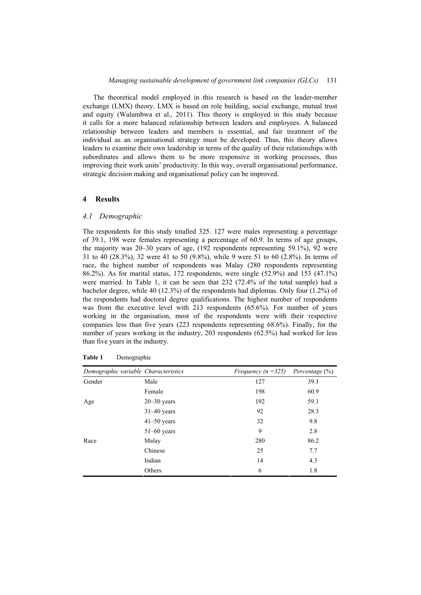The theoretical model employed in this research is based on the leader-member exchange (LMX) theory. LMX is based on role building, social exchange, mutual trust and equity (Walumbwa et al., 2011). This theory is employed in this study because it calls for a more balanced relationship between leaders and employees. A balanced relationship between leaders and members is essential, and fair treatment of the individual as an organisational strategy must be developed. Thus, this theory allows leaders to examine their own leadership in terms of the quality of their relationships with subordinates and allows them to be more responsive in working processes, thus improving their work units' productivity. In this way, overall organisational performance, strategic decision making and organisational policy can be improved.

#### **4 Results**

### *4.1 Demographic*

The respondents for this study totalled 325. 127 were males representing a percentage of 39.1, 198 were females representing a percentage of 60.9. In terms of age groups, the majority was 20–30 years of age, (192 respondents representing 59.1%), 92 were 31 to 40 (28.3%), 32 were 41 to 50 (9.8%), while 9 were 51 to 60 (2.8%). In terms of race, the highest number of respondents was Malay (280 respondents representing 86.2%). As for marital status, 172 respondents, were single (52.9%) and 153 (47.1%) were married. In Table 1, it can be seen that 232 (72.4% of the total sample) had a bachelor degree, while 40 (12.3%) of the respondents had diplomas. Only four (1.2%) of the respondents had doctoral degree qualifications. The highest number of respondents was from the executive level with 213 respondents (65.6%). For number of years working in the organisation, most of the respondents were with their respective companies less than five years (223 respondents representing 68.6%). Finally, for the number of years working in the industry, 203 respondents (62.5%) had worked for less than five years in the industry.

| Demographic variable Characteristics |                 | Frequency ( $n = 325$ ) | Percentage $(\%)$ |
|--------------------------------------|-----------------|-------------------------|-------------------|
| Gender                               | Male            | 127                     | 39.1              |
|                                      | Female          | 198                     | 60.9              |
| Age                                  | $20 - 30$ years | 192                     | 59.1              |
|                                      | $31-40$ years   | 92                      | 28.3              |
|                                      | $41-50$ years   | 32                      | 9.8               |
|                                      | $51-60$ years   | 9                       | 2.8               |
| Race                                 | Malay           | 280                     | 86.2              |
|                                      | Chinese         | 25                      | 7.7               |
|                                      | Indian          | 14                      | 4.3               |
|                                      | Others          | 6                       | 1.8               |

| Table 1 | Demographic |
|---------|-------------|
|         |             |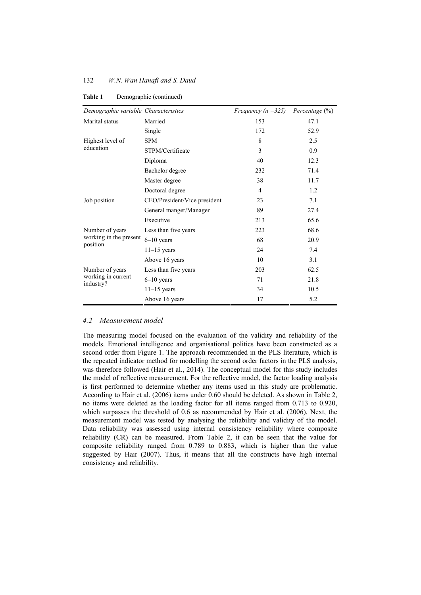| Demographic variable Characteristics               |                              | Frequency ( $n = 325$ ) | Percentage $(\%)$ |
|----------------------------------------------------|------------------------------|-------------------------|-------------------|
| Marital status                                     | Married                      | 153                     | 47.1              |
|                                                    | Single                       | 172                     | 52.9              |
| Highest level of                                   | <b>SPM</b>                   | 8                       | 2.5               |
| education                                          | STPM/Certificate             | 3                       | 0.9               |
|                                                    | Diploma                      | 40                      | 12.3              |
|                                                    | Bachelor degree              | 232                     | 71.4              |
|                                                    | Master degree                | 38                      | 11.7              |
|                                                    | Doctoral degree              | $\overline{4}$          | 1.2               |
| Job position                                       | CEO/President/Vice president | 23                      | 7.1               |
|                                                    | General manger/Manager       | 89                      | 27.4              |
|                                                    | Executive                    | 213                     | 65.6              |
| Number of years                                    | Less than five years         | 223                     | 68.6              |
| working in the present<br>position                 | $6-10$ years                 | 68                      | 20.9              |
|                                                    | $11-15$ years                | 24                      | 7.4               |
|                                                    | Above 16 years               | 10                      | 3.1               |
| Number of years<br>working in current<br>industry? | Less than five years         | 203                     | 62.5              |
|                                                    | $6 - 10$ years               | 71                      | 21.8              |
|                                                    | $11-15$ years                | 34                      | 10.5              |
|                                                    | Above 16 years               | 17                      | 5.2               |

Table 1 Demographic (continued)

## *4.2 Measurement model*

The measuring model focused on the evaluation of the validity and reliability of the models. Emotional intelligence and organisational politics have been constructed as a second order from Figure 1. The approach recommended in the PLS literature, which is the repeated indicator method for modelling the second order factors in the PLS analysis, was therefore followed (Hair et al., 2014). The conceptual model for this study includes the model of reflective measurement. For the reflective model, the factor loading analysis is first performed to determine whether any items used in this study are problematic. According to Hair et al. (2006) items under 0.60 should be deleted. As shown in Table 2, no items were deleted as the loading factor for all items ranged from 0.713 to 0.920, which surpasses the threshold of 0.6 as recommended by Hair et al. (2006). Next, the measurement model was tested by analysing the reliability and validity of the model. Data reliability was assessed using internal consistency reliability where composite reliability (CR) can be measured. From Table 2, it can be seen that the value for composite reliability ranged from 0.789 to 0.883, which is higher than the value suggested by Hair (2007). Thus, it means that all the constructs have high internal consistency and reliability.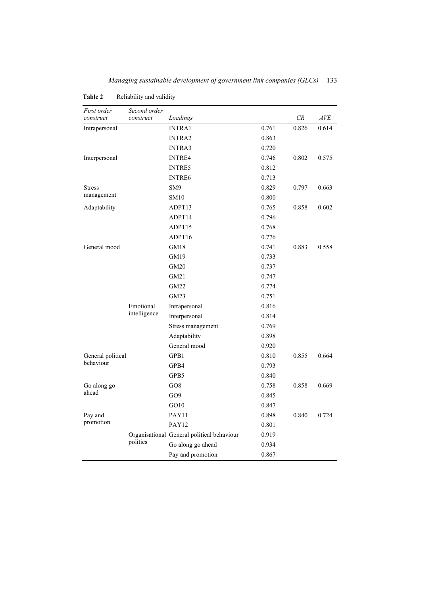| First order<br>construct | Second order<br>construct | Loadings                                   |       | CR    | AVE   |
|--------------------------|---------------------------|--------------------------------------------|-------|-------|-------|
| Intrapersonal            |                           | <b>INTRA1</b>                              | 0.761 | 0.826 | 0.614 |
|                          |                           | <b>INTRA2</b>                              | 0.863 |       |       |
|                          |                           | <b>INTRA3</b>                              | 0.720 |       |       |
| Interpersonal            |                           | <b>INTRE4</b>                              | 0.746 | 0.802 | 0.575 |
|                          |                           | <b>INTRE5</b>                              | 0.812 |       |       |
|                          |                           | <b>INTRE6</b>                              | 0.713 |       |       |
| <b>Stress</b>            |                           | SM <sub>9</sub>                            | 0.829 | 0.797 | 0.663 |
| management               |                           | <b>SM10</b>                                | 0.800 |       |       |
| Adaptability             |                           | ADPT13                                     | 0.765 | 0.858 | 0.602 |
|                          |                           | ADPT14                                     | 0.796 |       |       |
|                          |                           | ADPT15                                     | 0.768 |       |       |
|                          |                           | ADPT16                                     | 0.776 |       |       |
| General mood             |                           | GM18                                       | 0.741 | 0.883 | 0.558 |
|                          |                           | GM19                                       | 0.733 |       |       |
|                          |                           | GM20                                       | 0.737 |       |       |
|                          |                           | GM21                                       | 0.747 |       |       |
|                          |                           | <b>GM22</b>                                | 0.774 |       |       |
|                          |                           | GM23                                       | 0.751 |       |       |
|                          | Emotional                 | Intrapersonal                              | 0.816 |       |       |
|                          | intelligence              | Interpersonal                              | 0.814 |       |       |
|                          |                           | Stress management                          | 0.769 |       |       |
|                          |                           | Adaptability                               | 0.898 |       |       |
|                          |                           | General mood                               | 0.920 |       |       |
| General political        |                           | GPB1                                       | 0.810 | 0.855 | 0.664 |
| behaviour                |                           | GPB4                                       | 0.793 |       |       |
|                          |                           | GPB5                                       | 0.840 |       |       |
| Go along go              |                           | GO <sub>8</sub>                            | 0.758 | 0.858 | 0.669 |
| ahead                    |                           | GO <sub>9</sub>                            | 0.845 |       |       |
|                          |                           | GO10                                       | 0.847 |       |       |
| Pay and                  |                           | PAY11                                      | 0.898 | 0.840 | 0.724 |
| promotion                |                           | PAY12                                      | 0.801 |       |       |
|                          |                           | Organisational General political behaviour | 0.919 |       |       |
|                          | politics                  | Go along go ahead                          | 0.934 |       |       |
|                          |                           | Pay and promotion                          | 0.867 |       |       |

**Table 2** Reliability and validity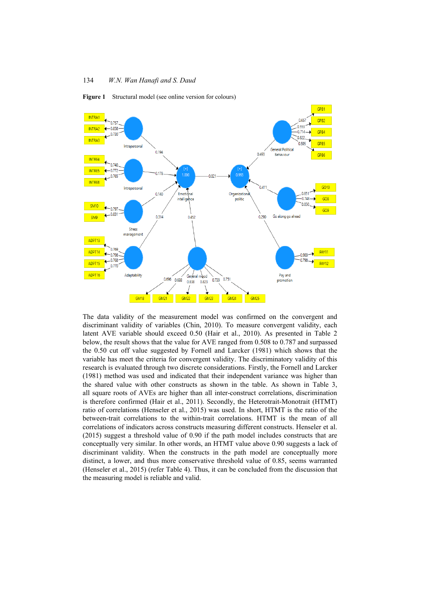

**Figure 1** Structural model (see online version for colours)

The data validity of the measurement model was confirmed on the convergent and discriminant validity of variables (Chin, 2010). To measure convergent validity, each latent AVE variable should exceed 0.50 (Hair et al., 2010). As presented in Table 2 below, the result shows that the value for AVE ranged from 0.508 to 0.787 and surpassed the 0.50 cut off value suggested by Fornell and Larcker (1981) which shows that the variable has meet the criteria for convergent validity. The discriminatory validity of this research is evaluated through two discrete considerations. Firstly, the Fornell and Larcker (1981) method was used and indicated that their independent variance was higher than the shared value with other constructs as shown in the table. As shown in Table 3, all square roots of AVEs are higher than all inter-construct correlations, discrimination is therefore confirmed (Hair et al., 2011). Secondly, the Heterotrait-Monotrait (HTMT) ratio of correlations (Henseler et al., 2015) was used. In short, HTMT is the ratio of the between-trait correlations to the within-trait correlations. HTMT is the mean of all correlations of indicators across constructs measuring different constructs. Henseler et al. (2015) suggest a threshold value of 0.90 if the path model includes constructs that are conceptually very similar. In other words, an HTMT value above 0.90 suggests a lack of discriminant validity. When the constructs in the path model are conceptually more distinct, a lower, and thus more conservative threshold value of 0.85, seems warranted (Henseler et al., 2015) (refer Table 4). Thus, it can be concluded from the discussion that the measuring model is reliable and valid.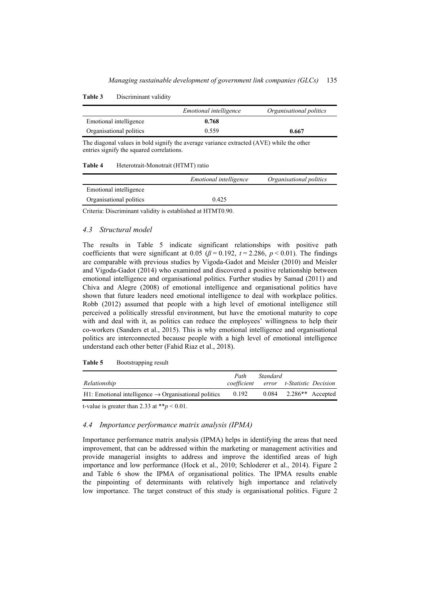|                         | <i>Emotional intelligence</i> | Organisational politics |
|-------------------------|-------------------------------|-------------------------|
| Emotional intelligence  | 0.768                         |                         |
| Organisational politics | 0.559                         | 0.667                   |

The diagonal values in bold signify the average variance extracted (AVE) while the other entries signify the squared correlations.

#### **Table 4** Heterotrait-Monotrait (HTMT) ratio

|                         | <i>Emotional intelligence</i> | Organisational politics |
|-------------------------|-------------------------------|-------------------------|
| Emotional intelligence  |                               |                         |
| Organisational politics | 0.425                         |                         |

Criteria: Discriminant validity is established at HTMT0.90.

## *4.3 Structural model*

The results in Table 5 indicate significant relationships with positive path coefficients that were significant at 0.05 ( $\beta$  = 0.192, *t* = 2.286, *p* < 0.01). The findings are comparable with previous studies by Vigoda-Gadot and Meisler (2010) and Meisler and Vigoda-Gadot (2014) who examined and discovered a positive relationship between emotional intelligence and organisational politics. Further studies by Samad (2011) and Chiva and Alegre (2008) of emotional intelligence and organisational politics have shown that future leaders need emotional intelligence to deal with workplace politics. Robb (2012) assumed that people with a high level of emotional intelligence still perceived a politically stressful environment, but have the emotional maturity to cope with and deal with it, as politics can reduce the employees' willingness to help their co-workers (Sanders et al., 2015). This is why emotional intelligence and organisational politics are interconnected because people with a high level of emotional intelligence understand each other better (Fahid Riaz et al., 2018).

| ------                                                           |             |          |                                      |  |
|------------------------------------------------------------------|-------------|----------|--------------------------------------|--|
|                                                                  | Path        | Standard |                                      |  |
| Relationship                                                     | coefficient |          | error t-Statistic Decision           |  |
| H1: Emotional intelligence $\rightarrow$ Organisational politics | 0.192       |          | $0.084$ 2.286 <sup>**</sup> Accepted |  |

**Table 5** Bootstrapping result

t-value is greater than 2.33 at  $**p < 0.01$ .

## *4.4 Importance performance matrix analysis (IPMA)*

Importance performance matrix analysis (IPMA) helps in identifying the areas that need improvement, that can be addressed within the marketing or management activities and provide managerial insights to address and improve the identified areas of high importance and low performance (Hock et al., 2010; Schloderer et al., 2014). Figure 2 and Table 6 show the IPMA of organisational politics. The IPMA results enable the pinpointing of determinants with relatively high importance and relatively low importance. The target construct of this study is organisational politics. Figure 2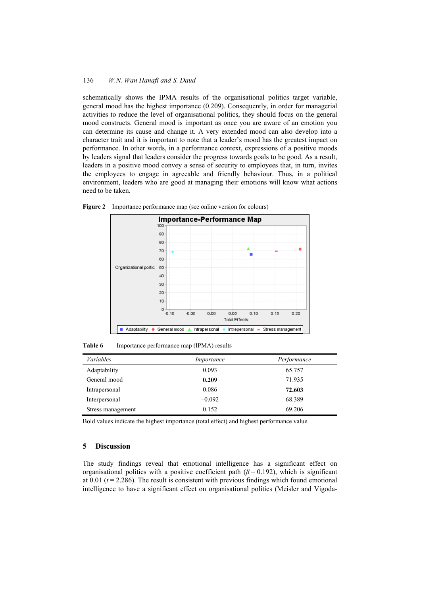schematically shows the IPMA results of the organisational politics target variable, general mood has the highest importance (0.209). Consequently, in order for managerial activities to reduce the level of organisational politics, they should focus on the general mood constructs. General mood is important as once you are aware of an emotion you can determine its cause and change it. A very extended mood can also develop into a character trait and it is important to note that a leader's mood has the greatest impact on performance. In other words, in a performance context, expressions of a positive moods by leaders signal that leaders consider the progress towards goals to be good. As a result, leaders in a positive mood convey a sense of security to employees that, in turn, invites the employees to engage in agreeable and friendly behaviour. Thus, in a political environment, leaders who are good at managing their emotions will know what actions need to be taken.



**Figure 2** Importance performance map (see online version for colours)

**Table 6** Importance performance map (IPMA) results

| <i>Variables</i>  | Importance | Performance |
|-------------------|------------|-------------|
| Adaptability      | 0.093      | 65.757      |
| General mood      | 0.209      | 71.935      |
| Intrapersonal     | 0.086      | 72.603      |
| Interpersonal     | $-0.092$   | 68.389      |
| Stress management | 0.152      | 69.206      |

Bold values indicate the highest importance (total effect) and highest performance value.

# **5 Discussion**

The study findings reveal that emotional intelligence has a significant effect on organisational politics with a positive coefficient path  $(\beta = 0.192)$ , which is significant at 0.01 (*t* = 2.286). The result is consistent with previous findings which found emotional intelligence to have a significant effect on organisational politics (Meisler and Vigoda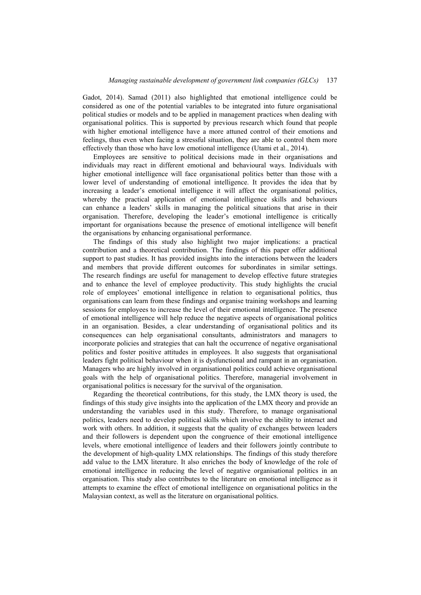Gadot, 2014). Samad (2011) also highlighted that emotional intelligence could be considered as one of the potential variables to be integrated into future organisational political studies or models and to be applied in management practices when dealing with organisational politics. This is supported by previous research which found that people with higher emotional intelligence have a more attuned control of their emotions and feelings, thus even when facing a stressful situation, they are able to control them more effectively than those who have low emotional intelligence (Utami et al., 2014).

Employees are sensitive to political decisions made in their organisations and individuals may react in different emotional and behavioural ways. Individuals with higher emotional intelligence will face organisational politics better than those with a lower level of understanding of emotional intelligence. It provides the idea that by increasing a leader's emotional intelligence it will affect the organisational politics, whereby the practical application of emotional intelligence skills and behaviours can enhance a leaders' skills in managing the political situations that arise in their organisation. Therefore, developing the leader's emotional intelligence is critically important for organisations because the presence of emotional intelligence will benefit the organisations by enhancing organisational performance.

The findings of this study also highlight two major implications: a practical contribution and a theoretical contribution. The findings of this paper offer additional support to past studies. It has provided insights into the interactions between the leaders and members that provide different outcomes for subordinates in similar settings. The research findings are useful for management to develop effective future strategies and to enhance the level of employee productivity. This study highlights the crucial role of employees' emotional intelligence in relation to organisational politics, thus organisations can learn from these findings and organise training workshops and learning sessions for employees to increase the level of their emotional intelligence. The presence of emotional intelligence will help reduce the negative aspects of organisational politics in an organisation. Besides, a clear understanding of organisational politics and its consequences can help organisational consultants, administrators and managers to incorporate policies and strategies that can halt the occurrence of negative organisational politics and foster positive attitudes in employees. It also suggests that organisational leaders fight political behaviour when it is dysfunctional and rampant in an organisation. Managers who are highly involved in organisational politics could achieve organisational goals with the help of organisational politics. Therefore, managerial involvement in organisational politics is necessary for the survival of the organisation.

Regarding the theoretical contributions, for this study, the LMX theory is used, the findings of this study give insights into the application of the LMX theory and provide an understanding the variables used in this study. Therefore, to manage organisational politics, leaders need to develop political skills which involve the ability to interact and work with others. In addition, it suggests that the quality of exchanges between leaders and their followers is dependent upon the congruence of their emotional intelligence levels, where emotional intelligence of leaders and their followers jointly contribute to the development of high-quality LMX relationships. The findings of this study therefore add value to the LMX literature. It also enriches the body of knowledge of the role of emotional intelligence in reducing the level of negative organisational politics in an organisation. This study also contributes to the literature on emotional intelligence as it attempts to examine the effect of emotional intelligence on organisational politics in the Malaysian context, as well as the literature on organisational politics.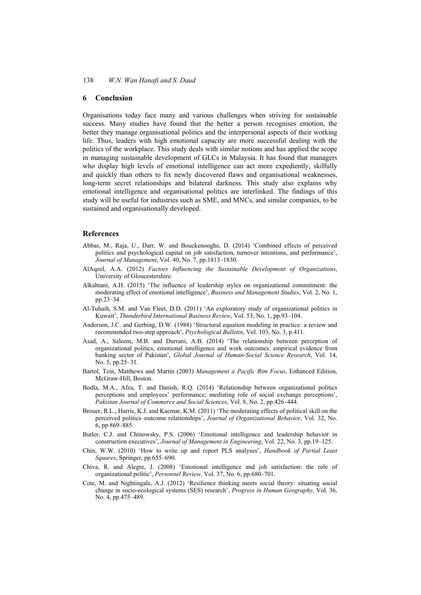### **6 Conclusion**

Organisations today face many and various challenges when striving for sustainable success. Many studies have found that the better a person recognises emotion, the better they manage organisational politics and the interpersonal aspects of their working life. Thus, leaders with high emotional capacity are more successful dealing with the politics of the workplace. This study deals with similar notions and has applied the scope in managing sustainable development of GLCs in Malaysia. It has found that managers who display high levels of emotional intelligence can act more expediently, skilfully and quickly than others to fix newly discovered flaws and organisational weaknesses, long-term secret relationships and bilateral darkness. This study also explains why emotional intelligence and organisational politics are interlinked. The findings of this study will be useful for industries such as SME, and MNCs, and similar companies, to be sustained and organisationally developed.

### **References**

- Abbas, M., Raja, U., Darr, W. and Bouckenooghe, D. (2014) 'Combined effects of perceived politics and psychological capital on job satisfaction, turnover intentions, and performance', *Journal of Management*, Vol. 40, No. 7, pp.1813–1830.
- AlAqeel, A.A. (2012) *Factors Influencing the Sustainable Development of Organizations*, University of Gloucestershire.
- Alkahtani, A.H. (2015) 'The influence of leadership styles on organizational commitment: the moderating effect of emotional intelligence', *Business and Management Studies*, Vol. 2, No. 1, pp.23–34.
- Al-Tuhaih, S.M. and Van Fleet, D.D. (2011) 'An exploratory study of organizational politics in Kuwait', *Thunderbird International Business Review*, Vol. 53, No. 1, pp.93–104.
- Anderson, J.C. and Gerbing, D.W. (1988) 'Structural equation modeling in practice: a review and recommended two-step approach', *Psychological Bulletin*, Vol. 103, No. 3, p.411.
- Asad, A., Saleem, M.B. and Durrani, A.B. (2014) 'The relationship between perception of organizational politics, emotional intelligence and work outcomes: empirical evidence from banking sector of Pakistan', *Global Journal of Human-Social Science Research*, Vol. 14, No. 5, pp.25–31.
- Bartol, Tein, Matthews and Martin (2003) *Management a Pacific Rim Focus*, Enhanced Edition, McGraw-Hill, Boston.
- Bodla, M.A., Afza, T. and Danish, R.Q. (2014) 'Relationship between organizational politics perceptions and employees' performance; mediating role of social exchange perceptions', *Pakistan Journal of Commerce and Social Sciences*, Vol. 8, No. 2, pp.426–444.
- Brouer, R.L., Harris, K.J. and Kacmar, K.M. (2011) 'The moderating effects of political skill on the perceived politics–outcome relationships', *Journal of Organizational Behavior*, Vol. 32, No. 6, pp.869–885.
- Butler, C.J. and Chinowsky, P.S. (2006) 'Emotional intelligence and leadership behavior in construction executives', *Journal of Management in Engineering*, Vol. 22, No. 3, pp.19–125.
- Chin, W.W. (2010) 'How to write up and report PLS analyses', *Handbook of Partial Least Squares*, Springer, pp.655–690.
- Chiva, R. and Alegre, J. (2008) 'Emotional intelligence and job satisfaction: the role of organizational politic', *Personnel Review*, Vol. 37, No. 6, pp.680–701.
- Cote, M. and Nightingale, A.J. (2012) 'Resilience thinking meets social theory: situating social change in socio-ecological systems (SES) research', *Progress in Human Geography*, Vol*.* 36, No. 4, pp.475–489.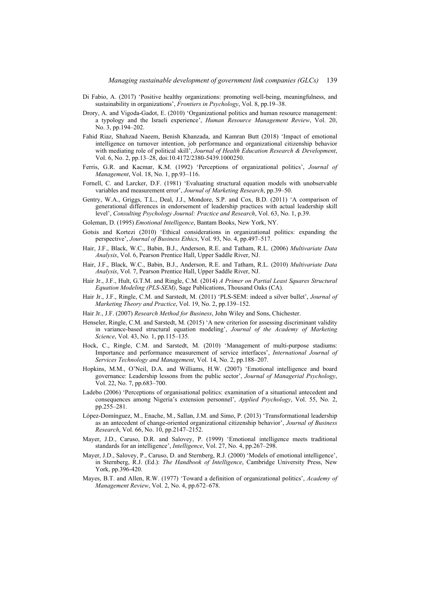- Di Fabio, A. (2017) 'Positive healthy organizations: promoting well-being, meaningfulness, and sustainability in organizations', *Frontiers in Psychology*, Vol. 8, pp.19–38.
- Drory, A. and Vigoda-Gadot, E. (2010) 'Organizational politics and human resource management: a typology and the Israeli experience', *Human Resource Management Review*, Vol. 20, No. 3, pp.194–202.
- Fahid Riaz, Shahzad Naeem, Benish Khanzada, and Kamran Butt (2018) 'Impact of emotional intelligence on turnover intention, job performance and organizational citizenship behavior with mediating role of political skill', *Journal of Health Education Research & Development*, Vol. 6, No. 2, pp.13–28, doi:10.4172/2380-5439.1000250.
- Ferris, G.R. and Kacmar, K.M. (1992) 'Perceptions of organizational politics', *Journal of Management*, Vol. 18, No. 1, pp.93–116.
- Fornell, C. and Larcker, D.F. (1981) 'Evaluating structural equation models with unobservable variables and measurement error', *Journal of Marketing Research*, pp.39–50.
- Gentry, W.A., Griggs, T.L., Deal, J.J., Mondore, S.P. and Cox, B.D. (2011) 'A comparison of generational differences in endorsement of leadership practices with actual leadership skill level', *Consulting Psychology Journal: Practice and Research*, Vol. 63, No. 1, p.39.
- Goleman, D. (1995) *Emotional Intelligence*, Bantam Books, New York, NY.
- Gotsis and Kortezi (2010) 'Ethical considerations in organizational politics: expanding the perspective', *Journal of Business Ethics*, Vol. 93, No. 4, pp.497–517.
- Hair, J.F., Black, W.C., Babin, B.J., Anderson, R.E. and Tatham, R.L. (2006) *Multivariate Data Analysis*, Vol. 6, Pearson Prentice Hall, Upper Saddle River, NJ.
- Hair, J.F., Black, W.C., Babin, B.J., Anderson, R.E. and Tatham, R.L. (2010) *Multivariate Data Analysis*, Vol. 7, Pearson Prentice Hall, Upper Saddle River, NJ.
- Hair Jr., J.F., Hult, G.T.M. and Ringle, C.M. (2014) *A Primer on Partial Least Squares Structural Equation Modeling (PLS-SEM)*, Sage Publications, Thousand Oaks (CA).
- Hair Jr., J.F., Ringle, C.M. and Sarstedt, M. (2011) 'PLS-SEM: indeed a silver bullet', *Journal of Marketing Theory and Practice*, Vol. 19, No. 2, pp.139–152.
- Hair Jr., J.F. (2007) *Research Method for Business*, John Wiley and Sons, Chichester.
- Henseler, Ringle, C.M. and Sarstedt, M. (2015) 'A new criterion for assessing discriminant validity in variance-based structural equation modeling', *Journal of the Academy of Marketing Science*, Vol. 43, No*.* 1, pp.115–135.
- Hock, C., Ringle, C.M. and Sarstedt, M. (2010) 'Management of multi-purpose stadiums: Importance and performance measurement of service interfaces', *International Journal of Services Technology and Management*, Vol. 14, No. 2, pp.188–207.
- Hopkins, M.M., O'Neil, D.A. and Williams, H.W. (2007) 'Emotional intelligence and board governance: Leadership lessons from the public sector', *Journal of Managerial Psychology*, Vol. 22, No. 7, pp.683–700.
- Ladebo (2006) 'Perceptions of organisational politics: examination of a situational antecedent and consequences among Nigeria's extension personnel', *Applied Psychology*, Vol. 55, No. 2, pp.255–281.
- López-Domínguez, M., Enache, M., Sallan, J.M. and Simo, P. (2013) 'Transformational leadership as an antecedent of change-oriented organizational citizenship behavior', *Journal of Business Research*, Vol. 66, No. 10, pp.2147–2152.
- Mayer, J.D., Caruso, D.R. and Salovey, P. (1999) 'Emotional intelligence meets traditional standards for an intelligence', *Intelligence*, Vol. 27, No. 4, pp.267–298.
- Mayer, J.D., Salovey, P., Caruso, D. and Sternberg, R.J. (2000) 'Models of emotional intelligence', in Sternberg, R.J. (Ed.): *The Handbook of Intelligence*, Cambridge University Press, New York, pp.396-420.
- Mayes, B.T. and Allen, R.W. (1977) 'Toward a definition of organizational politics', *Academy of Management Review*, Vol. 2, No. 4, pp.672–678.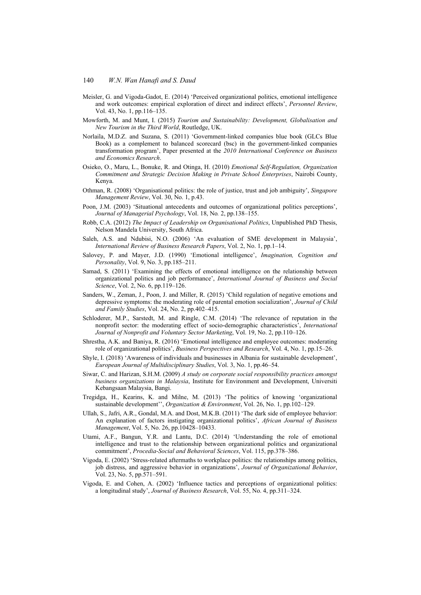- Meisler, G. and Vigoda-Gadot, E. (2014) 'Perceived organizational politics, emotional intelligence and work outcomes: empirical exploration of direct and indirect effects', *Personnel Review*, Vol. 43, No. 1, pp.116–135.
- Mowforth, M. and Munt, I. (2015) *Tourism and Sustainability: Development, Globalisation and New Tourism in the Third World*, Routledge, UK.
- Norlaila, M.D.Z. and Suzana, S. (2011) 'Government-linked companies blue book (GLCs Blue Book) as a complement to balanced scorecard (bsc) in the government-linked companies transformation program', Paper presented at the *2010 International Conference on Business and Economics Research*.
- Osieko, O., Maru, L., Bonuke, R. and Otinga, H. (2010) *Emotional Self-Regulation, Organization Commitment and Strategic Decision Making in Private School Enterprises*, Nairobi County, Kenya.
- Othman, R. (2008) 'Organisational politics: the role of justice, trust and job ambiguity', *Singapore Management Review*, Vol. 30, No. 1, p.43.
- Poon, J.M. (2003) 'Situational antecedents and outcomes of organizational politics perceptions', *Journal of Managerial Psychology*, Vol. 18, No*.* 2, pp.138–155.
- Robb, C.A. (2012) *The Impact of Leadership on Organisational Politics*, Unpublished PhD Thesis, Nelson Mandela University, South Africa.
- Saleh, A.S. and Ndubisi, N.O. (2006) 'An evaluation of SME development in Malaysia', *International Review of Business Research Papers*, Vol. 2, No. 1, pp.1–14.
- Salovey, P. and Mayer, J.D. (1990) 'Emotional intelligence', *Imagination, Cognition and Personality*, Vol. 9, No. 3, pp.185–211.
- Samad, S. (2011) 'Examining the effects of emotional intelligence on the relationship between organizational politics and job performance', *International Journal of Business and Social Science*, Vol. 2, No. 6, pp.119–126.
- Sanders, W., Zeman, J., Poon, J. and Miller, R. (2015) 'Child regulation of negative emotions and depressive symptoms: the moderating role of parental emotion socialization', *Journal of Child and Family Studies*, Vol. 24, No. 2, pp.402–415.
- Schloderer, M.P., Sarstedt, M. and Ringle, C.M. (2014) 'The relevance of reputation in the nonprofit sector: the moderating effect of socio-demographic characteristics', *International Journal of Nonprofit and Voluntary Sector Marketing*, Vol. 19, No. 2, pp.110–126.
- Shrestha, A.K. and Baniya, R. (2016) 'Emotional intelligence and employee outcomes: moderating role of organizational politics', *Business Perspectives and Research*, Vol. 4, No. 1, pp.15–26.
- Shyle, I. (2018) 'Awareness of individuals and businesses in Albania for sustainable development', *European Journal of Multidisciplinary Studies*, Vol. 3, No. 1, pp.46–54.
- Siwar, C. and Harizan, S.H.M. (2009) *A study on corporate social responsibility practices amongst business organizations in Malaysia*, Institute for Environment and Development, Universiti Kebangsaan Malaysia, Bangi.
- Tregidga, H., Kearins, K. and Milne, M. (2013) 'The politics of knowing 'organizational sustainable development'', *Organization & Environment*, Vol. 26, No. 1, pp.102–129.
- Ullah, S., Jafri, A.R., Gondal, M.A. and Dost, M.K.B. (2011) 'The dark side of employee behavior: An explanation of factors instigating organizational politics', *African Journal of Business Management*, Vol. 5, No. 26, pp.10428–10433.
- Utami, A.F., Bangun, Y.R. and Lantu, D.C. (2014) 'Understanding the role of emotional intelligence and trust to the relationship between organizational politics and organizational commitment', *Procedia-Social and Behavioral Sciences*, Vol. 115, pp.378–386.
- Vigoda, E. (2002) 'Stress-related aftermaths to workplace politics: the relationships among politics, job distress, and aggressive behavior in organizations', *Journal of Organizational Behavior*, Vol. 23, No. 5, pp.571–591.
- Vigoda, E. and Cohen, A. (2002) 'Influence tactics and perceptions of organizational politics: a longitudinal study', *Journal of Business Research*, Vol. 55, No. 4, pp.311–324.